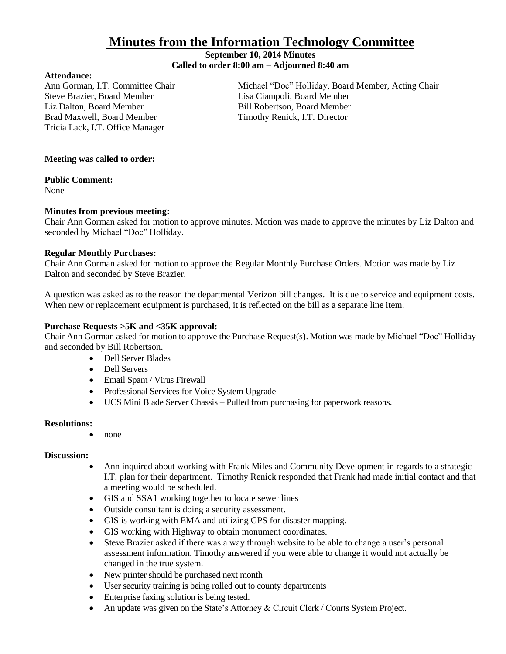# **Minutes from the Information Technology Committee**

## **September 10, 2014 Minutes Called to order 8:00 am – Adjourned 8:40 am**

#### **Attendance:**

Steve Brazier, Board Member Lisa Ciampoli, Board Member Liz Dalton, Board Member Bill Robertson, Board Member Brad Maxwell, Board Member Timothy Renick, I.T. Director Tricia Lack, I.T. Office Manager

Ann Gorman, I.T. Committee Chair Michael "Doc" Holliday, Board Member, Acting Chair

## **Meeting was called to order:**

# **Public Comment:**

None

# **Minutes from previous meeting:**

Chair Ann Gorman asked for motion to approve minutes. Motion was made to approve the minutes by Liz Dalton and seconded by Michael "Doc" Holliday.

#### **Regular Monthly Purchases:**

Chair Ann Gorman asked for motion to approve the Regular Monthly Purchase Orders. Motion was made by Liz Dalton and seconded by Steve Brazier.

A question was asked as to the reason the departmental Verizon bill changes. It is due to service and equipment costs. When new or replacement equipment is purchased, it is reflected on the bill as a separate line item.

## **Purchase Requests >5K and <35K approval:**

Chair Ann Gorman asked for motion to approve the Purchase Request(s). Motion was made by Michael "Doc" Holliday and seconded by Bill Robertson.

- Dell Server Blades
- Dell Servers
- Email Spam / Virus Firewall
- Professional Services for Voice System Upgrade
- UCS Mini Blade Server Chassis Pulled from purchasing for paperwork reasons.

#### **Resolutions:**

none

#### **Discussion:**

- Ann inquired about working with Frank Miles and Community Development in regards to a strategic I.T. plan for their department. Timothy Renick responded that Frank had made initial contact and that a meeting would be scheduled.
- GIS and SSA1 working together to locate sewer lines
- Outside consultant is doing a security assessment.
- GIS is working with EMA and utilizing GPS for disaster mapping.
- GIS working with Highway to obtain monument coordinates.
- Steve Brazier asked if there was a way through website to be able to change a user's personal assessment information. Timothy answered if you were able to change it would not actually be changed in the true system.
- New printer should be purchased next month
- User security training is being rolled out to county departments
- Enterprise faxing solution is being tested.
- An update was given on the State's Attorney & Circuit Clerk / Courts System Project.